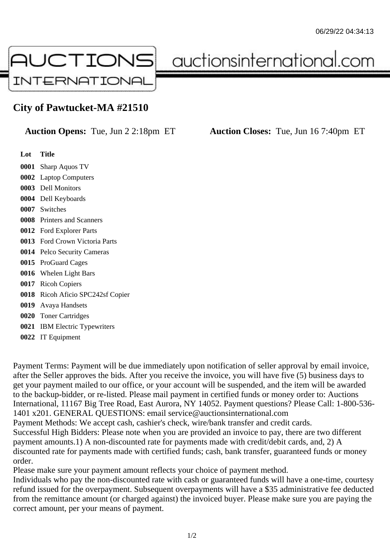

auctionsinternational.com

## **City of Pawtucket-MA #21510**

**Auction Opens:** Tue, Jun 2 2:18pm ET **Auction Closes:** Tue, Jun 16 7:40pm ET

- **Lot Title**
- **0001** Sharp Aquos TV
- **0002** Laptop Computers **0003** Dell Monitors
- **0004** Dell Keyboards
- **0007** Switches
- **0008** Printers and Scanners
- **0012** Ford Explorer Parts
- **0013** Ford Crown Victoria Parts
- **0014** Pelco Security Cameras
- **0015** ProGuard Cages
- **0016** Whelen Light Bars
- **0017** Ricoh Copiers
- **0018** Ricoh Aficio SPC242sf Copier
- **0019** Avaya Handsets
- **0020** Toner Cartridges
- **0021** IBM Electric Typewriters
- **0022** IT Equipment

Payment Terms: Payment will be due immediately upon notification of seller approval by email invoice, after the Seller approves the bids. After you receive the invoice, you will have five (5) business days to get your payment mailed to our office, or your account will be suspended, and the item will be awarded to the backup-bidder, or re-listed. Please mail payment in certified funds or money order to: Auctions International, 11167 Big Tree Road, East Aurora, NY 14052. Payment questions? Please Call: 1-800-536- 1401 x201. GENERAL QUESTIONS: email service@auctionsinternational.com Payment Methods: We accept cash, cashier's check, wire/bank transfer and credit cards. Successful High Bidders: Please note when you are provided an invoice to pay, there are two different payment amounts.1) A non-discounted rate for payments made with credit/debit cards, and, 2) A discounted rate for payments made with certified funds; cash, bank transfer, guaranteed funds or money order.

Please make sure your payment amount reflects your choice of payment method.

Individuals who pay the non-discounted rate with cash or guaranteed funds will have a one-time, courtesy refund issued for the overpayment. Subsequent overpayments will have a \$35 administrative fee deducted from the remittance amount (or charged against) the invoiced buyer. Please make sure you are paying the correct amount, per your means of payment.